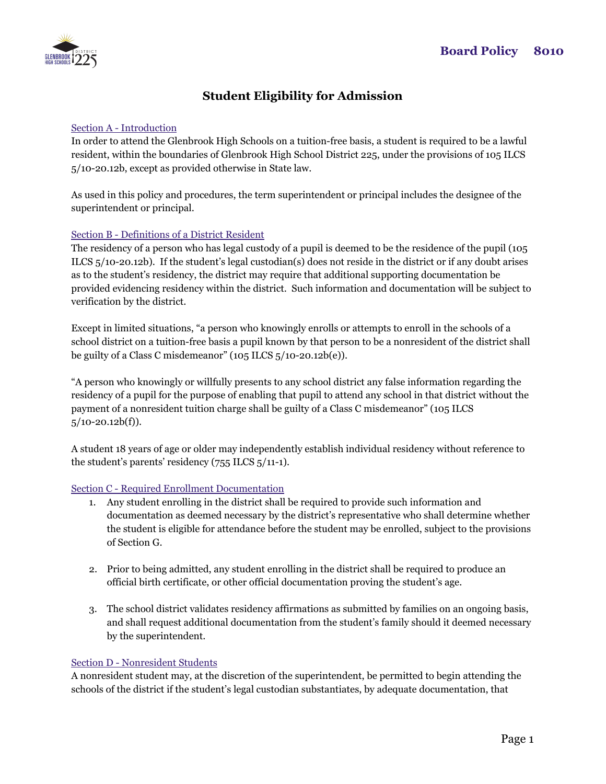

# **Student Eligibility for Admission**

# Section A - Introduction

In order to attend the Glenbrook High Schools on a tuition-free basis, a student is required to be a lawful resident, within the boundaries of Glenbrook High School District 225, under the provisions of 105 ILCS 5/10-20.12b, except as provided otherwise in State law.

As used in this policy and procedures, the term superintendent or principal includes the designee of the superintendent or principal.

# Section B - Definitions of a District Resident

The residency of a person who has legal custody of a pupil is deemed to be the residence of the pupil (105 ILCS 5/10-20.12b). If the student's legal custodian(s) does not reside in the district or if any doubt arises as to the student's residency, the district may require that additional supporting documentation be provided evidencing residency within the district. Such information and documentation will be subject to verification by the district.

Except in limited situations, "a person who knowingly enrolls or attempts to enroll in the schools of a school district on a tuition-free basis a pupil known by that person to be a nonresident of the district shall be guilty of a Class C misdemeanor" (105 ILCS  $5/10-20.12b(e)$ ).

"A person who knowingly or willfully presents to any school district any false information regarding the residency of a pupil for the purpose of enabling that pupil to attend any school in that district without the payment of a nonresident tuition charge shall be guilty of a Class C misdemeanor" (105 ILCS  $5/10-20.12b(f)$ .

A student 18 years of age or older may independently establish individual residency without reference to the student's parents' residency (755 ILCS 5/11-1).

#### Section C - Required Enrollment Documentation

- 1. Any student enrolling in the district shall be required to provide such information and documentation as deemed necessary by the district's representative who shall determine whether the student is eligible for attendance before the student may be enrolled, subject to the provisions of Section G.
- 2. Prior to being admitted, any student enrolling in the district shall be required to produce an official birth certificate, or other official documentation proving the student's age.
- 3. The school district validates residency affirmations as submitted by families on an ongoing basis, and shall request additional documentation from the student's family should it deemed necessary by the superintendent.

#### Section D - Nonresident Students

A nonresident student may, at the discretion of the superintendent, be permitted to begin attending the schools of the district if the student's legal custodian substantiates, by adequate documentation, that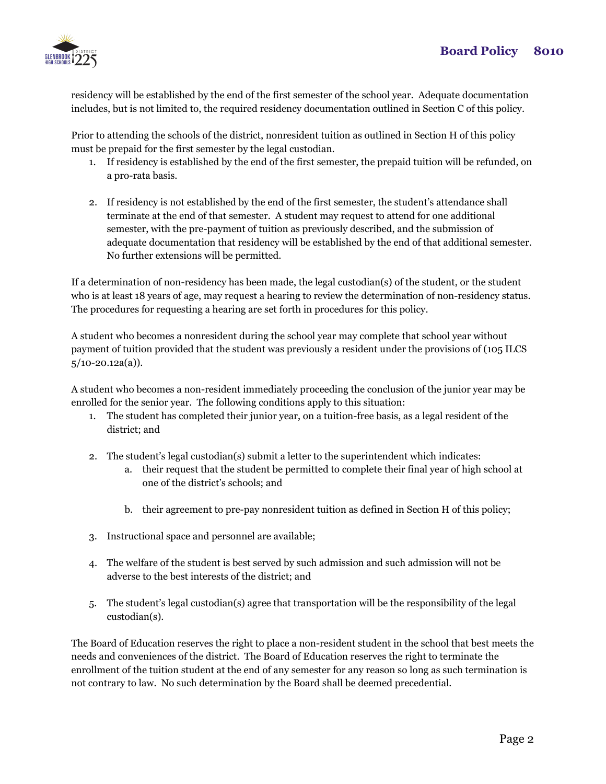

residency will be established by the end of the first semester of the school year. Adequate documentation includes, but is not limited to, the required residency documentation outlined in Section C of this policy.

Prior to attending the schools of the district, nonresident tuition as outlined in Section H of this policy must be prepaid for the first semester by the legal custodian.

- 1. If residency is established by the end of the first semester, the prepaid tuition will be refunded, on a pro-rata basis.
- 2. If residency is not established by the end of the first semester, the student's attendance shall terminate at the end of that semester. A student may request to attend for one additional semester, with the pre-payment of tuition as previously described, and the submission of adequate documentation that residency will be established by the end of that additional semester. No further extensions will be permitted.

If a determination of non-residency has been made, the legal custodian(s) of the student, or the student who is at least 18 years of age, may request a hearing to review the determination of non-residency status. The procedures for requesting a hearing are set forth in procedures for this policy.

A student who becomes a nonresident during the school year may complete that school year without payment of tuition provided that the student was previously a resident under the provisions of (105 ILCS  $5/10-20.12a(a)$ ).

A student who becomes a non-resident immediately proceeding the conclusion of the junior year may be enrolled for the senior year. The following conditions apply to this situation:

- 1. The student has completed their junior year, on a tuition-free basis, as a legal resident of the district; and
- 2. The student's legal custodian(s) submit a letter to the superintendent which indicates:
	- a. their request that the student be permitted to complete their final year of high school at one of the district's schools; and
	- b. their agreement to pre-pay nonresident tuition as defined in Section H of this policy;
- 3. Instructional space and personnel are available;
- 4. The welfare of the student is best served by such admission and such admission will not be adverse to the best interests of the district; and
- 5. The student's legal custodian(s) agree that transportation will be the responsibility of the legal custodian(s).

The Board of Education reserves the right to place a non-resident student in the school that best meets the needs and conveniences of the district. The Board of Education reserves the right to terminate the enrollment of the tuition student at the end of any semester for any reason so long as such termination is not contrary to law. No such determination by the Board shall be deemed precedential.